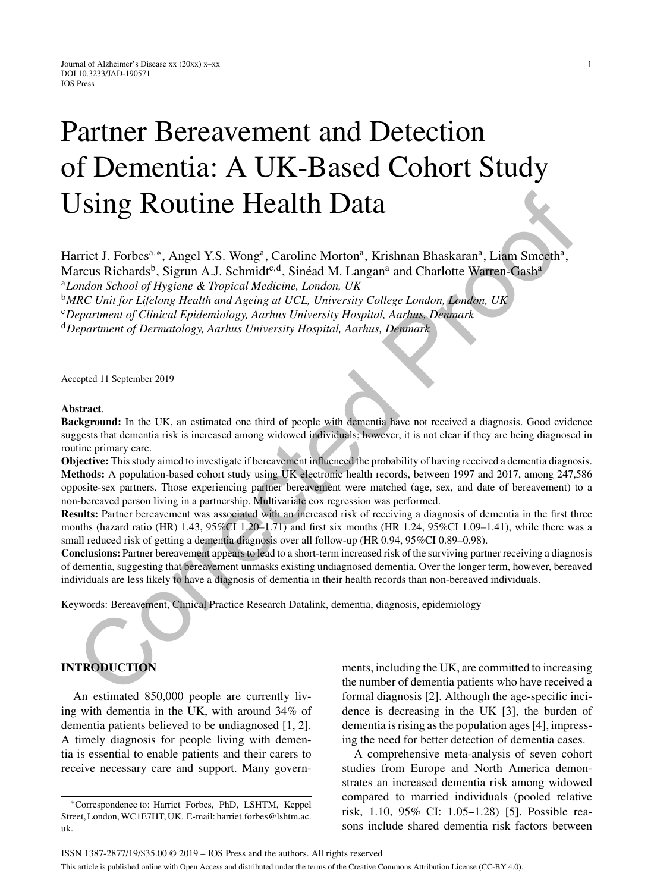# Partner Bereavement and Detection of Dementia: A UK-Based Cohort Study Using Routine Health Data

Harriet J. Forbes<sup>a,∗</sup>, Angel Y.S. Wong<sup>a</sup>, Caroline Morton<sup>a</sup>, Krishnan Bhaskaran<sup>a</sup>, Liam Smeeth<sup>a</sup>, Marcus Richards<sup>b</sup>, Sigrun A.J. Schmidt<sup>c,d</sup>, Sinéad M. Langan<sup>a</sup> and Charlotte Warren-Gash<sup>a</sup> <sup>a</sup>*London School of Hygiene & Tropical Medicine, London, UK*

<sup>b</sup>*MRC Unit for Lifelong Health and Ageing at UCL, University College London, London, UK*

<sup>c</sup>*Department of Clinical Epidemiology, Aarhus University Hospital, Aarhus, Denmark*

<sup>d</sup>*Department of Dermatology, Aarhus University Hospital, Aarhus, Denmark*

Accepted 11 September 2019

#### **Abstract**.

**Background:** In the UK, an estimated one third of people with dementia have not received a diagnosis. Good evidence suggests that dementia risk is increased among widowed individuals; however, it is not clear if they are being diagnosed in routine primary care.

**Objective:** This study aimed to investigate if bereavement influenced the probability of having received a dementia diagnosis. **Methods:** A population-based cohort study using UK electronic health records, between 1997 and 2017, among 247,586 opposite-sex partners. Those experiencing partner bereavement were matched (age, sex, and date of bereavement) to a non-bereaved person living in a partnership. Multivariate cox regression was performed. **ISing Routine Health Data**<br>
Times I. Forbos<sup>3,\*</sup>, Angel Y.S. Wong<sup>4</sup>, Caroline Morton<sup>5</sup>, Krishnan Bhaskaran<sup>9</sup>, Liam Smeeth<sup>2</sup>,<br>
actual Richards', Sigrum A.J. Schmid(<sup>54</sup>, Sinced M. Langan<sup>4</sup> and Charlotte Warren-Gashi<sup></sup>

**Results:** Partner bereavement was associated with an increased risk of receiving a diagnosis of dementia in the first three months (hazard ratio (HR) 1.43, 95%CI 1.20–1.71) and first six months (HR 1.24, 95%CI 1.09–1.41), while there was a small reduced risk of getting a dementia diagnosis over all follow-up (HR 0.94, 95%CI 0.89–0.98).

**Conclusions:** Partner bereavement appears to lead to a short-term increased risk of the surviving partner receiving a diagnosis of dementia, suggesting that bereavement unmasks existing undiagnosed dementia. Over the longer term, however, bereaved individuals are less likely to have a diagnosis of dementia in their health records than non-bereaved individuals.

Keywords: Bereavement, Clinical Practice Research Datalink, dementia, diagnosis, epidemiology

# **INTRODUCTION**

An estimated 850,000 people are currently living with dementia in the UK, with around 34% of dementia patients believed to be undiagnosed [1, 2]. A timely diagnosis for people living with dementia is essential to enable patients and their carers to receive necessary care and support. Many governments, including the UK, are committed to increasing the number of dementia patients who have received a formal diagnosis [2]. Although the age-specific incidence is decreasing in the UK [3], the burden of dementia is rising as the population ages [4], impressing the need for better detection of dementia cases.

A comprehensive meta-analysis of seven cohort studies from Europe and North America demonstrates an increased dementia risk among widowed compared to married individuals (pooled relative risk, 1.10, 95% CI: 1.05–1.28) [5]. Possible reasons include shared dementia risk factors between

<sup>∗</sup>Correspondence to: Harriet Forbes, PhD, LSHTM, Keppel Street, London, WC1E7HT, UK. E-mail: [harriet.forbes@lshtm.ac.](mailto:harriet.forbes@lshtm.ac.{penalty -@M }uk) uk.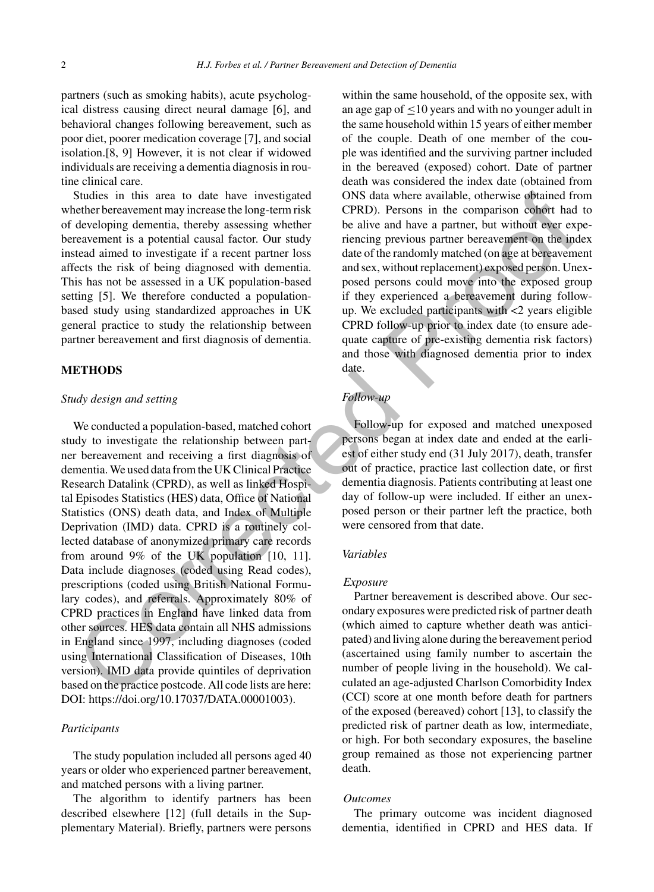partners (such as smoking habits), acute psychological distress causing direct neural damage [6], and behavioral changes following bereavement, such as poor diet, poorer medication coverage [7], and social isolation.[8, 9] However, it is not clear if widowed individuals are receiving a dementia diagnosis in routine clinical care.

Studies in this area to date have investigated whether bereavement may increase the long-term risk of developing dementia, thereby assessing whether bereavement is a potential causal factor. Our study instead aimed to investigate if a recent partner loss affects the risk of being diagnosed with dementia. This has not be assessed in a UK population-based setting [5]. We therefore conducted a populationbased study using standardized approaches in UK general practice to study the relationship between partner bereavement and first diagnosis of dementia.

#### **METHODS**

#### *Study design and setting*

We conducted a population-based, matched cohort study to investigate the relationship between partner bereavement and receiving a first diagnosis of dementia. We used data from the UK Clinical Practice Research Datalink (CPRD), as well as linked Hospital Episodes Statistics (HES) data, Office of National Statistics (ONS) death data, and Index of Multiple Deprivation (IMD) data. CPRD is a routinely collected database of anonymized primary care records from around 9% of the UK population [10, 11]. Data include diagnoses (coded using Read codes), prescriptions (coded using British National Formulary codes), and referrals. Approximately 80% of CPRD practices in England have linked data from other sources. HES data contain all NHS admissions in England since 1997, including diagnoses (coded using International Classification of Diseases, 10th version). IMD data provide quintiles of deprivation based on the practice postcode. All code lists are here: DOI:<https://doi.org/10.17037/DATA.00001003>). Studies in this urear to due have investigated ONS data where available, otherwise optimated referencement may increase the long-term<br>risk CPRD). Persons in the comparison condert had developing dementia, thereby assessin

#### *Participants*

The study population included all persons aged 40 years or older who experienced partner bereavement, and matched persons with a living partner.

The algorithm to identify partners has been described elsewhere [12] (full details in the Supplementary Material). Briefly, partners were persons within the same household, of the opposite sex, with an age gap of  $\leq 10$  years and with no younger adult in the same household within 15 years of either member of the couple. Death of one member of the couple was identified and the surviving partner included in the bereaved (exposed) cohort. Date of partner death was considered the index date (obtained from ONS data where available, otherwise obtained from CPRD). Persons in the comparison cohort had to be alive and have a partner, but without ever experiencing previous partner bereavement on the index date of the randomly matched (on age at bereavement and sex, without replacement) exposed person. Unexposed persons could move into the exposed group if they experienced a bereavement during followup. We excluded participants with  $\langle 2 \rangle$  years eligible CPRD follow-up prior to index date (to ensure adequate capture of pre-existing dementia risk factors) and those with diagnosed dementia prior to index date.

# *Follow-up*

Follow-up for exposed and matched unexposed persons began at index date and ended at the earliest of either study end (31 July 2017), death, transfer out of practice, practice last collection date, or first dementia diagnosis. Patients contributing at least one day of follow-up were included. If either an unexposed person or their partner left the practice, both were censored from that date.

#### *Variables*

# *Exposure*

Partner bereavement is described above. Our secondary exposures were predicted risk of partner death (which aimed to capture whether death was anticipated) and living alone during the bereavement period (ascertained using family number to ascertain the number of people living in the household). We calculated an age-adjusted Charlson Comorbidity Index (CCI) score at one month before death for partners of the exposed (bereaved) cohort [13], to classify the predicted risk of partner death as low, intermediate, or high. For both secondary exposures, the baseline group remained as those not experiencing partner death.

#### *Outcomes*

The primary outcome was incident diagnosed dementia, identified in CPRD and HES data. If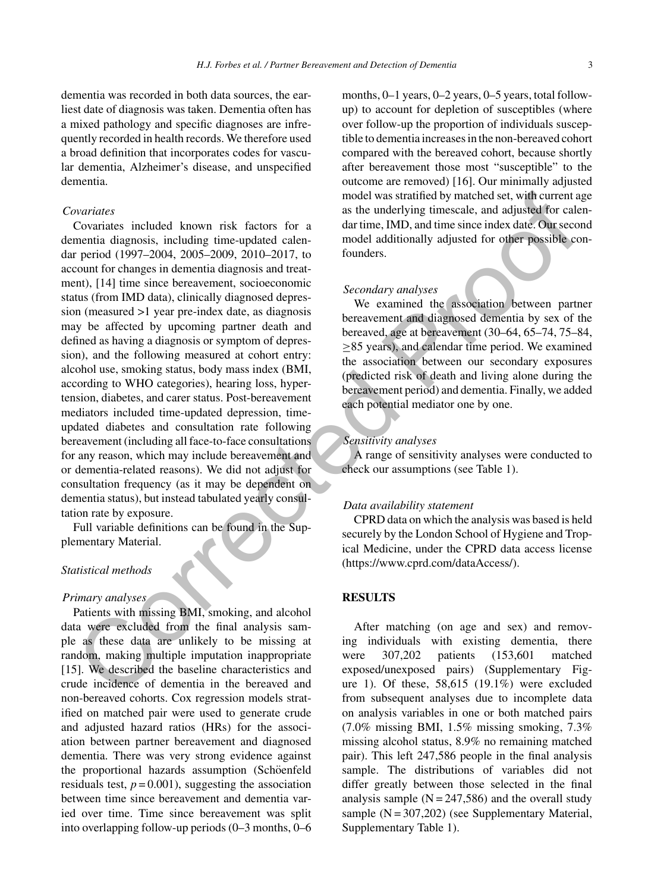dementia was recorded in both data sources, the earliest date of diagnosis was taken. Dementia often has a mixed pathology and specific diagnoses are infrequently recorded in health records. We therefore used a broad definition that incorporates codes for vascular dementia, Alzheimer's disease, and unspecified dementia.

#### *Covariates*

Covariates included known risk factors for a dementia diagnosis, including time-updated calendar period (1997–2004, 2005–2009, 2010–2017, to account for changes in dementia diagnosis and treatment), [14] time since bereavement, socioeconomic status (from IMD data), clinically diagnosed depression (measured >1 year pre-index date, as diagnosis may be affected by upcoming partner death and defined as having a diagnosis or symptom of depression), and the following measured at cohort entry: alcohol use, smoking status, body mass index (BMI, according to WHO categories), hearing loss, hypertension, diabetes, and carer status. Post-bereavement mediators included time-updated depression, timeupdated diabetes and consultation rate following bereavement (including all face-to-face consultations for any reason, which may include bereavement and or dementia-related reasons). We did not adjust for consultation frequency (as it may be dependent on dementia status), but instead tabulated yearly consultation rate by exposure. provides<br>
metale scheme and the system independent and the system in the system of the metale of the corrected (1991–2004, 2005–2009, 2010–2017, to<br>
correction (1991–2004, 2005–2009, 2010–2017, to<br>
correction (1991–2004,

Full variable definitions can be found in the Supplementary Material.

# *Statistical methods*

#### *Primary analyses*

Patients with missing BMI, smoking, and alcohol data were excluded from the final analysis sample as these data are unlikely to be missing at random, making multiple imputation inappropriate [15]. We described the baseline characteristics and crude incidence of dementia in the bereaved and non-bereaved cohorts. Cox regression models stratified on matched pair were used to generate crude and adjusted hazard ratios (HRs) for the association between partner bereavement and diagnosed dementia. There was very strong evidence against the proportional hazards assumption (Schöenfeld residuals test,  $p = 0.001$ ), suggesting the association between time since bereavement and dementia varied over time. Time since bereavement was split into overlapping follow-up periods (0–3 months, 0–6

months, 0–1 years, 0–2 years, 0–5 years, total followup) to account for depletion of susceptibles (where over follow-up the proportion of individuals susceptible to dementia increases in the non-bereaved cohort compared with the bereaved cohort, because shortly after bereavement those most "susceptible" to the outcome are removed) [16]. Our minimally adjusted model was stratified by matched set, with current age as the underlying timescale, and adjusted for calendar time, IMD, and time since index date. Our second model additionally adjusted for other possible confounders.

#### *Secondary analyses*

We examined the association between partner bereavement and diagnosed dementia by sex of the bereaved, age at bereavement (30–64, 65–74, 75–84, ≥85 years), and calendar time period. We examined the association between our secondary exposures (predicted risk of death and living alone during the bereavement period) and dementia. Finally, we added each potential mediator one by one.

## *Sensitivity analyses*

A range of sensitivity analyses were conducted to check our assumptions (see Table 1).

## *Data availability statement*

CPRD data on which the analysis was based is held securely by the London School of Hygiene and Tropical Medicine, under the CPRD data access license [\(https://www.cprd.com/dataAccess/\)](https://www.cprd.com/dataAccess/).

# **RESULTS**

After matching (on age and sex) and removing individuals with existing dementia, there were 307,202 patients (153,601 matched exposed/unexposed pairs) (Supplementary Figure 1). Of these, 58,615 (19.1%) were excluded from subsequent analyses due to incomplete data on analysis variables in one or both matched pairs (7.0% missing BMI, 1.5% missing smoking, 7.3% missing alcohol status, 8.9% no remaining matched pair). This left 247,586 people in the final analysis sample. The distributions of variables did not differ greatly between those selected in the final analysis sample  $(N = 247,586)$  and the overall study sample  $(N = 307,202)$  (see Supplementary Material, Supplementary Table 1).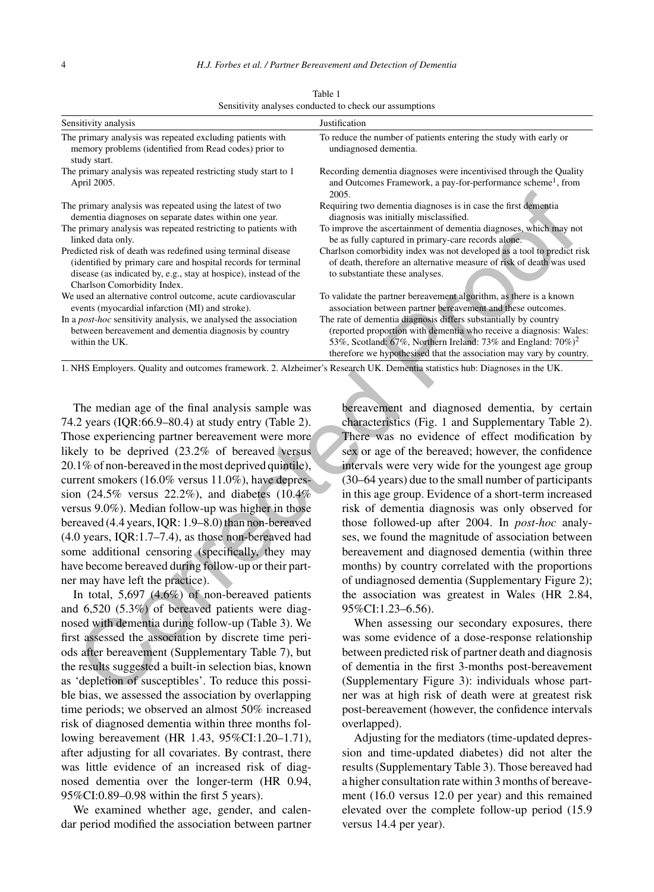| Sensitivity analysis                                                                                                                                                                                                             | Justification                                                                                                                                                                                                                                                                              |  |  |
|----------------------------------------------------------------------------------------------------------------------------------------------------------------------------------------------------------------------------------|--------------------------------------------------------------------------------------------------------------------------------------------------------------------------------------------------------------------------------------------------------------------------------------------|--|--|
| The primary analysis was repeated excluding patients with<br>memory problems (identified from Read codes) prior to<br>study start.                                                                                               | To reduce the number of patients entering the study with early or<br>undiagnosed dementia.                                                                                                                                                                                                 |  |  |
| The primary analysis was repeated restricting study start to 1<br>April 2005.                                                                                                                                                    | Recording dementia diagnoses were incentivised through the Quality<br>and Outcomes Framework, a pay-for-performance scheme <sup>1</sup> , from<br>2005.                                                                                                                                    |  |  |
| The primary analysis was repeated using the latest of two<br>dementia diagnoses on separate dates within one year.                                                                                                               | Requiring two dementia diagnoses is in case the first dementia<br>diagnosis was initially misclassified.                                                                                                                                                                                   |  |  |
| The primary analysis was repeated restricting to patients with<br>linked data only.                                                                                                                                              | To improve the ascertainment of dementia diagnoses, which may not<br>be as fully captured in primary-care records alone.                                                                                                                                                                   |  |  |
| Predicted risk of death was redefined using terminal disease<br>(identified by primary care and hospital records for terminal<br>disease (as indicated by, e.g., stay at hospice), instead of the<br>Charlson Comorbidity Index. | Charlson comorbidity index was not developed as a tool to predict risk<br>of death, therefore an alternative measure of risk of death was used<br>to substantiate these analyses.                                                                                                          |  |  |
| We used an alternative control outcome, acute cardiovascular<br>events (myocardial infarction (MI) and stroke).                                                                                                                  | To validate the partner bereavement algorithm, as there is a known<br>association between partner bereavement and these outcomes.                                                                                                                                                          |  |  |
| In a <i>post-hoc</i> sensitivity analysis, we analysed the association<br>between bereavement and dementia diagnosis by country<br>within the UK.                                                                                | The rate of dementia diagnosis differs substantially by country<br>(reported proportion with dementia who receive a diagnosis: Wales:<br>53%, Scotland: 67%, Northern Ireland: 73% and England: $70\%$ <sup>2</sup><br>therefore we hypothesised that the association may vary by country. |  |  |
| 1. NHS Employers. Quality and outcomes framework. 2. Alzheimer's Research UK. Dementia statistics hub: Diagnoses in the UK.                                                                                                      |                                                                                                                                                                                                                                                                                            |  |  |
|                                                                                                                                                                                                                                  |                                                                                                                                                                                                                                                                                            |  |  |
|                                                                                                                                                                                                                                  |                                                                                                                                                                                                                                                                                            |  |  |
| The median age of the final analysis sample was                                                                                                                                                                                  | bereavement and diagnosed dementia, by certain                                                                                                                                                                                                                                             |  |  |
| 74.2 years (IQR:66.9–80.4) at study entry (Table 2).                                                                                                                                                                             | characteristics (Fig. 1 and Supplementary Table 2).                                                                                                                                                                                                                                        |  |  |
| Those experiencing partner bereavement were more                                                                                                                                                                                 | There was no evidence of effect modification by                                                                                                                                                                                                                                            |  |  |
| likely to be deprived (23.2% of bereaved versus                                                                                                                                                                                  | sex or age of the bereaved; however, the confidence                                                                                                                                                                                                                                        |  |  |
| 20.1% of non-bereaved in the most deprived quintile),                                                                                                                                                                            | intervals were very wide for the youngest age group                                                                                                                                                                                                                                        |  |  |
| current smokers (16.0% versus 11.0%), have depres-                                                                                                                                                                               | (30–64 years) due to the small number of participants                                                                                                                                                                                                                                      |  |  |
| sion $(24.5\%$ versus $22.2\%)$ , and diabetes $(10.4\%$                                                                                                                                                                         | in this age group. Evidence of a short-term increased                                                                                                                                                                                                                                      |  |  |
| versus 9.0%). Median follow-up was higher in those                                                                                                                                                                               | risk of dementia diagnosis was only observed for                                                                                                                                                                                                                                           |  |  |
| bereaved (4.4 years, IQR: 1.9-8.0) than non-bereaved                                                                                                                                                                             | those followed-up after 2004. In post-hoc analy-                                                                                                                                                                                                                                           |  |  |
| $(4.0 \text{ years}, \text{IQR:1.7-7.4}),$ as those non-bereaved had                                                                                                                                                             | ses, we found the magnitude of association between                                                                                                                                                                                                                                         |  |  |
| some additional censoring (specifically, they may                                                                                                                                                                                | bereavement and diagnosed dementia (within three                                                                                                                                                                                                                                           |  |  |
| have become bereaved during follow-up or their part-                                                                                                                                                                             | months) by country correlated with the proportions                                                                                                                                                                                                                                         |  |  |
| ner may have left the practice).                                                                                                                                                                                                 | of undiagnosed dementia (Supplementary Figure 2);                                                                                                                                                                                                                                          |  |  |
| In total, $5,697$ (4.6%) of non-bereaved patients                                                                                                                                                                                | the association was greatest in Wales (HR 2.84,                                                                                                                                                                                                                                            |  |  |
| and 6,520 (5.3%) of bereaved patients were diag-                                                                                                                                                                                 | 95%CI:1.23-6.56).                                                                                                                                                                                                                                                                          |  |  |
| nosed with dementia during follow-up (Table 3). We                                                                                                                                                                               | When assessing our secondary exposures, there                                                                                                                                                                                                                                              |  |  |
| first assessed the association by discrete time peri-                                                                                                                                                                            | was some evidence of a dose-response relationship                                                                                                                                                                                                                                          |  |  |
| ods after bereavement (Supplementary Table 7), but                                                                                                                                                                               | between predicted risk of partner death and diagnosis                                                                                                                                                                                                                                      |  |  |
| the results suggested a built-in selection bias, known                                                                                                                                                                           | of dementia in the first 3-months post-bereavement                                                                                                                                                                                                                                         |  |  |
| as 'depletion of susceptibles'. To reduce this possi-                                                                                                                                                                            | (Supplementary Figure 3): individuals whose part-                                                                                                                                                                                                                                          |  |  |
| ble hiss, we assessed the association by overlanning                                                                                                                                                                             | per was at high risk of death were at greatest risk                                                                                                                                                                                                                                        |  |  |

Table 1 Sensitivity analyses conducted to check our assumptions

In total, 5,697 (4.6%) of non-bereaved patients and 6,520 (5.3%) of bereaved patients were diagnosed with dementia during follow-up (Table 3). We first assessed the association by discrete time periods after bereavement (Supplementary Table 7), but the results suggested a built-in selection bias, known as 'depletion of susceptibles'. To reduce this possible bias, we assessed the association by overlapping time periods; we observed an almost 50% increased risk of diagnosed dementia within three months following bereavement (HR 1.43, 95%CI:1.20–1.71), after adjusting for all covariates. By contrast, there was little evidence of an increased risk of diagnosed dementia over the longer-term (HR 0.94, 95%CI:0.89–0.98 within the first 5 years).

We examined whether age, gender, and calendar period modified the association between partner

When assessing our secondary exposures, there was some evidence of a dose-response relationship between predicted risk of partner death and diagnosis of dementia in the first 3-months post-bereavement (Supplementary Figure 3): individuals whose partner was at high risk of death were at greatest risk post-bereavement (however, the confidence intervals overlapped).

Adjusting for the mediators (time-updated depression and time-updated diabetes) did not alter the results (Supplementary Table 3). Those bereaved had a higher consultation rate within 3 months of bereavement (16.0 versus 12.0 per year) and this remained elevated over the complete follow-up period (15.9 versus 14.4 per year).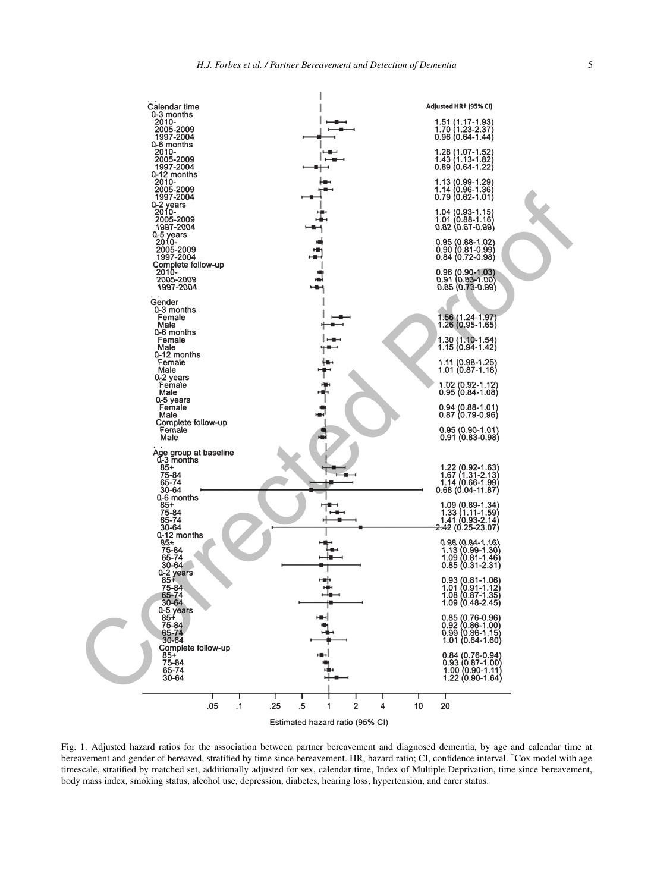

Estimated hazard ratio (95% CI)

Fig. 1. Adjusted hazard ratios for the association between partner bereavement and diagnosed dementia, by age and calendar time at bereavement and gender of bereaved, stratified by time since bereavement. HR, hazard ratio; CI, confidence interval. <sup>†</sup>Cox model with age timescale, stratified by matched set, additionally adjusted for sex, calendar time, Index of Multiple Deprivation, time since bereavement, body mass index, smoking status, alcohol use, depression, diabetes, hearing loss, hypertension, and carer status.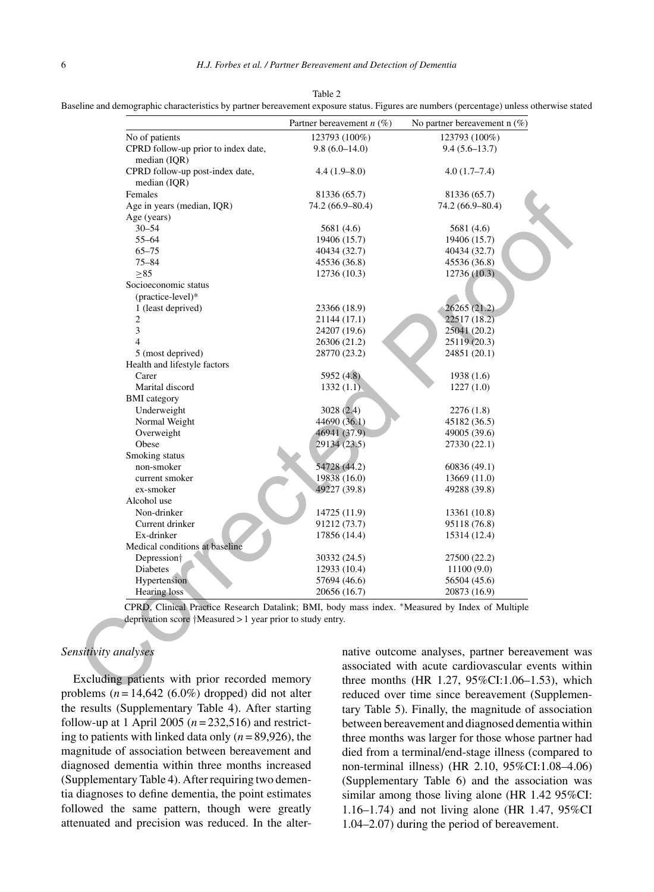| Baseline and demographic characteristics by partner bereavement exposure status. Figures are numbers (percentage) unless otherwise stated |  |  |  |  |  |  |  |
|-------------------------------------------------------------------------------------------------------------------------------------------|--|--|--|--|--|--|--|
|-------------------------------------------------------------------------------------------------------------------------------------------|--|--|--|--|--|--|--|

|                                                                                                                                                                         | Partner bereavement $n$ (%)                   | No partner bereavement $n$ (%)                                                                     |
|-------------------------------------------------------------------------------------------------------------------------------------------------------------------------|-----------------------------------------------|----------------------------------------------------------------------------------------------------|
| No of patients                                                                                                                                                          | 123793 (100%)                                 | 123793 (100%)                                                                                      |
| CPRD follow-up prior to index date,<br>median (IQR)                                                                                                                     | $9.8(6.0 - 14.0)$                             | $9.4(5.6-13.7)$                                                                                    |
| CPRD follow-up post-index date,                                                                                                                                         | $4.4(1.9-8.0)$                                | $4.0(1.7-7.4)$                                                                                     |
| median (IQR)                                                                                                                                                            |                                               |                                                                                                    |
| Females                                                                                                                                                                 | 81336 (65.7)                                  | 81336 (65.7)                                                                                       |
| Age in years (median, IQR)                                                                                                                                              | 74.2 (66.9–80.4)                              | 74.2 (66.9–80.4)                                                                                   |
| Age (years)                                                                                                                                                             |                                               |                                                                                                    |
| $30 - 54$                                                                                                                                                               | 5681 (4.6)                                    | 5681 (4.6)                                                                                         |
| $55 - 64$                                                                                                                                                               | 19406 (15.7)                                  | 19406 (15.7)                                                                                       |
| $65 - 75$                                                                                                                                                               | 40434 (32.7)                                  | 40434 (32.7)                                                                                       |
| $75 - 84$                                                                                                                                                               | 45536 (36.8)                                  | 45536 (36.8)                                                                                       |
| >85                                                                                                                                                                     | 12736 (10.3)                                  | 12736 (10.3)                                                                                       |
| Socioeconomic status                                                                                                                                                    |                                               |                                                                                                    |
| (practice-level)*                                                                                                                                                       |                                               |                                                                                                    |
| 1 (least deprived)                                                                                                                                                      | 23366 (18.9)                                  | 26265 (21.2)                                                                                       |
| 2                                                                                                                                                                       | 21144 (17.1)                                  | 22517 (18.2)                                                                                       |
| 3                                                                                                                                                                       | 24207 (19.6)                                  | 25041 (20.2)                                                                                       |
| $\overline{4}$                                                                                                                                                          | 26306 (21.2)                                  | 25119 (20.3)                                                                                       |
| 5 (most deprived)                                                                                                                                                       | 28770 (23.2)                                  | 24851 (20.1)                                                                                       |
| Health and lifestyle factors                                                                                                                                            |                                               |                                                                                                    |
| Carer                                                                                                                                                                   | 5952 (4.8)                                    | 1938(1.6)                                                                                          |
| Marital discord                                                                                                                                                         | 1332(1.1)                                     | 1227(1.0)                                                                                          |
| <b>BMI</b> category                                                                                                                                                     |                                               |                                                                                                    |
| Underweight                                                                                                                                                             | 3028 (2.4)                                    | 2276(1.8)                                                                                          |
| Normal Weight                                                                                                                                                           | 44690 (36.1)                                  | 45182 (36.5)                                                                                       |
| Overweight                                                                                                                                                              | 46941 (37.9)                                  | 49005 (39.6)                                                                                       |
| Obese                                                                                                                                                                   | 29134 (23.5)                                  | 27330 (22.1)                                                                                       |
| Smoking status                                                                                                                                                          |                                               |                                                                                                    |
| non-smoker                                                                                                                                                              | 54728 (44.2)                                  | 60836 (49.1)                                                                                       |
| current smoker                                                                                                                                                          | 19838 (16.0)                                  | 13669 (11.0)                                                                                       |
| ex-smoker                                                                                                                                                               | 49227 (39.8)                                  | 49288 (39.8)                                                                                       |
| Alcohol use                                                                                                                                                             |                                               |                                                                                                    |
| Non-drinker                                                                                                                                                             | 14725 (11.9)                                  | 13361 (10.8)                                                                                       |
| Current drinker                                                                                                                                                         | 91212 (73.7)                                  | 95118 (76.8)                                                                                       |
| Ex-drinker                                                                                                                                                              | 17856 (14.4)                                  | 15314 (12.4)                                                                                       |
| Medical conditions at baseline                                                                                                                                          |                                               |                                                                                                    |
|                                                                                                                                                                         | 30332 (24.5)                                  | 27500 (22.2)                                                                                       |
| Depression <sup>†</sup><br>Diabetes                                                                                                                                     | 12933 (10.4)                                  | 11100(9.0)                                                                                         |
|                                                                                                                                                                         |                                               |                                                                                                    |
| Hypertension                                                                                                                                                            | 57694 (46.6)                                  | 56504 (45.6)                                                                                       |
| Hearing loss                                                                                                                                                            | 20656 (16.7)                                  | 20873 (16.9)                                                                                       |
| CPRD, Clinical Practice Research Datalink; BMI, body mass index. *Measured by Index of Multiple<br>deprivation score $\uparrow$ Measured > 1 year prior to study entry. |                                               |                                                                                                    |
| nsitivity analyses                                                                                                                                                      |                                               | native outcome analyses, partner bereavement w<br>associated with acute cardiovascular events with |
|                                                                                                                                                                         | Excluding patients with prior recorded memory |                                                                                                    |

# *Sensitivity analyses*

Excluding patients with prior recorded memory problems  $(n = 14,642 (6.0\%)$  dropped) did not alter the results (Supplementary Table 4). After starting follow-up at 1 April 2005 ( $n = 232,516$ ) and restricting to patients with linked data only  $(n = 89,926)$ , the magnitude of association between bereavement and diagnosed dementia within three months increased (Supplementary Table 4). After requiring two dementia diagnoses to define dementia, the point estimates followed the same pattern, though were greatly attenuated and precision was reduced. In the alternative outcome analyses, partner bereavement was associated with acute cardiovascular events within three months (HR 1.27, 95%CI:1.06–1.53), which reduced over time since bereavement (Supplementary Table 5). Finally, the magnitude of association between bereavement and diagnosed dementia within three months was larger for those whose partner had died from a terminal/end-stage illness (compared to non-terminal illness) (HR 2.10, 95%CI:1.08–4.06) (Supplementary Table 6) and the association was similar among those living alone (HR 1.42 95%CI: 1.16–1.74) and not living alone (HR 1.47, 95%CI 1.04–2.07) during the period of bereavement.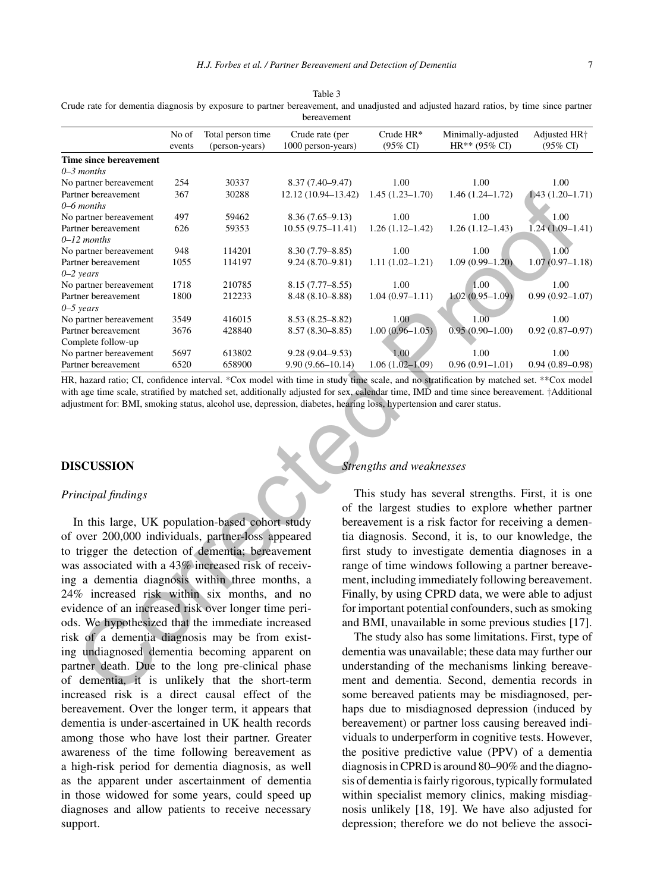|                                                                                                        | No of<br>events | Total person time<br>(person-years) | Crude rate (per<br>1000 person-years) | Crude HR*<br>$(95\% \text{ CI})$                     | Minimally-adjusted<br>HR** (95% CI)                | Adjusted HR <sup>+</sup><br>$(95\% \text{ CI})$ |  |
|--------------------------------------------------------------------------------------------------------|-----------------|-------------------------------------|---------------------------------------|------------------------------------------------------|----------------------------------------------------|-------------------------------------------------|--|
| Time since bereavement                                                                                 |                 |                                     |                                       |                                                      |                                                    |                                                 |  |
| $0 - 3$ months                                                                                         |                 |                                     |                                       |                                                      |                                                    |                                                 |  |
| No partner bereavement                                                                                 | 254             | 30337                               | $8.37(7.40 - 9.47)$                   | 1.00                                                 | 1.00                                               | 1.00                                            |  |
| Partner bereavement                                                                                    | 367             | 30288                               | 12.12 (10.94-13.42)                   | $1.45(1.23 - 1.70)$                                  | $1.46(1.24 - 1.72)$                                | $1.43(1.20-1.71)$                               |  |
| $0 - 6$ months                                                                                         |                 |                                     |                                       |                                                      |                                                    |                                                 |  |
| No partner bereavement                                                                                 | 497             | 59462                               | $8.36(7.65-9.13)$                     | 1.00                                                 | 1.00                                               | 1.00                                            |  |
| Partner bereavement                                                                                    | 626             | 59353                               | $10.55(9.75 - 11.41)$                 | $1.26(1.12 - 1.42)$                                  | $1.26(1.12-1.43)$                                  | $1.24(1.09-1.41)$                               |  |
| $0-12$ months                                                                                          |                 |                                     |                                       |                                                      |                                                    |                                                 |  |
| No partner bereavement                                                                                 | 948             | 114201                              | $8.30(7.79 - 8.85)$                   | 1.00                                                 | 1.00                                               | 1.00                                            |  |
| Partner bereavement                                                                                    | 1055            | 114197                              | $9.24(8.70-9.81)$                     | $1.11(1.02 - 1.21)$                                  | $1.09(0.99 - 1.20)$                                | $1.07(0.97 - 1.18)$                             |  |
| $0 - 2$ years                                                                                          |                 |                                     |                                       |                                                      |                                                    |                                                 |  |
| No partner bereavement                                                                                 | 1718            | 210785                              | $8.15(7.77 - 8.55)$                   | 1.00                                                 | 1.00                                               | 1.00                                            |  |
| Partner bereavement                                                                                    | 1800            | 212233                              | $8.48(8.10 - 8.88)$                   | $1.04(0.97-1.11)$                                    | $1.02(0.95 - 1.09)$                                | $0.99(0.92 - 1.07)$                             |  |
| $0 - 5$ years                                                                                          |                 |                                     |                                       |                                                      |                                                    |                                                 |  |
| No partner bereavement                                                                                 | 3549            | 416015                              | $8.53(8.25 - 8.82)$                   | 1.00                                                 | 1.00                                               | 1.00                                            |  |
| Partner bereavement                                                                                    | 3676            | 428840                              | $8.57(8.30 - 8.85)$                   | $1.00(0.96 - 1.05)$                                  | $0.95(0.90 - 1.00)$                                | $0.92(0.87 - 0.97)$                             |  |
| Complete follow-up                                                                                     |                 |                                     |                                       |                                                      |                                                    |                                                 |  |
| No partner bereavement                                                                                 | 5697            | 613802                              | $9.28(9.04 - 9.53)$                   | 1.00                                                 | 1.00                                               | 1.00                                            |  |
| Partner bereavement                                                                                    | 6520            | 658900                              | $9.90(9.66 - 10.14)$                  | $1.06(1.02 - 1.09)$                                  | $0.96(0.91-1.01)$                                  | $0.94(0.89 - 0.98)$                             |  |
| <b>DISCUSSION</b>                                                                                      |                 |                                     |                                       | Strengths and weaknesses                             |                                                    |                                                 |  |
| Principal findings                                                                                     |                 |                                     |                                       |                                                      | This study has several strengths. First, it is one |                                                 |  |
|                                                                                                        |                 |                                     |                                       | of the largest studies to explore whether partner    |                                                    |                                                 |  |
| In this large, UK population-based cohort study                                                        |                 |                                     |                                       | bereavement is a risk factor for receiving a demen-  |                                                    |                                                 |  |
| of over 200,000 individuals, partner-loss appeared                                                     |                 |                                     |                                       | tia diagnosis. Second, it is, to our knowledge, the  |                                                    |                                                 |  |
| to trigger the detection of dementia; bereavement                                                      |                 |                                     |                                       | first study to investigate dementia diagnoses in a   |                                                    |                                                 |  |
|                                                                                                        |                 |                                     |                                       | range of time windows following a partner bereave-   |                                                    |                                                 |  |
| was associated with a 43% increased risk of receiv-<br>ing a dementia diagnosis within three months, a |                 |                                     |                                       | ment, including immediately following bereavement.   |                                                    |                                                 |  |
|                                                                                                        |                 |                                     |                                       |                                                      |                                                    |                                                 |  |
| 24% increased risk within six months, and no                                                           |                 |                                     |                                       | Finally, by using CPRD data, we were able to adjust  |                                                    |                                                 |  |
| evidence of an increased risk over longer time peri-                                                   |                 |                                     |                                       | for important potential confounders, such as smoking |                                                    |                                                 |  |
| ods. We hypothesized that the immediate increased                                                      |                 |                                     |                                       | and BMI, unavailable in some previous studies [17].  |                                                    |                                                 |  |
| risk of a dementia diagnosis may be from exist-                                                        |                 |                                     |                                       |                                                      |                                                    |                                                 |  |
|                                                                                                        |                 |                                     |                                       | The study also has some limitations. First, type of  |                                                    |                                                 |  |
| ing undiagnosed dementia becoming apparent on                                                          |                 |                                     |                                       | dementia was unavailable; these data may further our |                                                    |                                                 |  |
| partner death. Due to the long pre-clinical phase                                                      |                 |                                     |                                       | understanding of the mechanisms linking bereave-     |                                                    |                                                 |  |
| of dementia, it is unlikely that the short-term                                                        |                 |                                     |                                       | ment and dementia. Second, dementia records in       |                                                    |                                                 |  |
| increased risk is a direct causal effect of the                                                        |                 |                                     |                                       | some bereaved patients may be misdiagnosed per-      |                                                    |                                                 |  |

Table 3 Crude rate for dementia diagnosis by exposure to partner bereavement, and unadjusted and adjusted hazard ratios, by time since partner bereavement

## **DISCUSSION**

#### *Principal findings*

In this large, UK population-based cohort study of over 200,000 individuals, partner-loss appeared to trigger the detection of dementia; bereavement was associated with a 43% increased risk of receiving a dementia diagnosis within three months, a 24% increased risk within six months, and no evidence of an increased risk over longer time periods. We hypothesized that the immediate increased risk of a dementia diagnosis may be from existing undiagnosed dementia becoming apparent on partner death. Due to the long pre-clinical phase of dementia, it is unlikely that the short-term increased risk is a direct causal effect of the bereavement. Over the longer term, it appears that dementia is under-ascertained in UK health records among those who have lost their partner. Greater awareness of the time following bereavement as a high-risk period for dementia diagnosis, as well as the apparent under ascertainment of dementia in those widowed for some years, could speed up diagnoses and allow patients to receive necessary support.

#### *Strengths and weaknesses*

The study also has some limitations. First, type of dementia was unavailable; these data may further our understanding of the mechanisms linking bereavement and dementia. Second, dementia records in some bereaved patients may be misdiagnosed, perhaps due to misdiagnosed depression (induced by bereavement) or partner loss causing bereaved individuals to underperform in cognitive tests. However, the positive predictive value (PPV) of a dementia diagnosis in CPRD is around 80–90% and the diagnosis of dementia is fairly rigorous, typically formulated within specialist memory clinics, making misdiagnosis unlikely [18, 19]. We have also adjusted for depression; therefore we do not believe the associ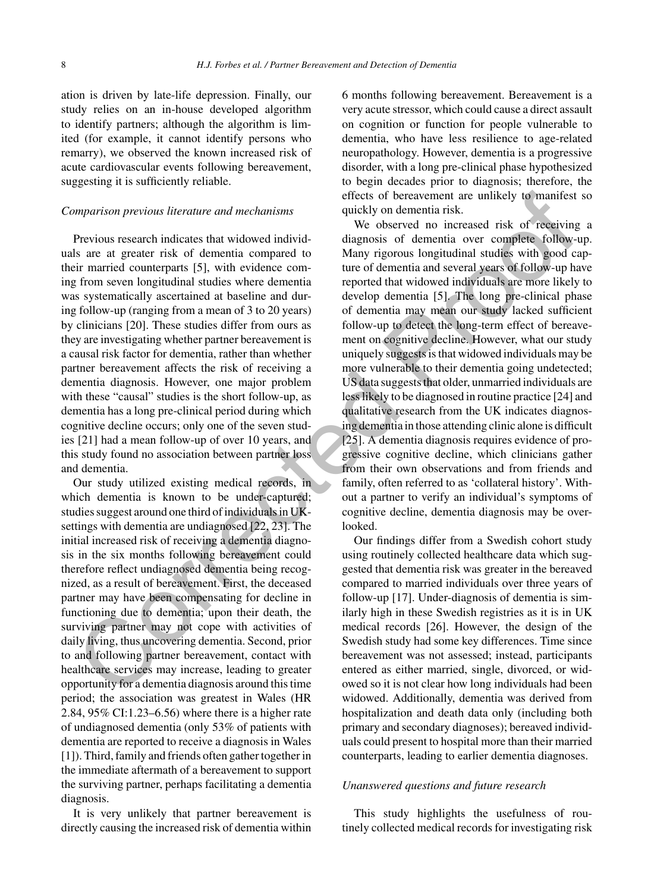ation is driven by late-life depression. Finally, our study relies on an in-house developed algorithm to identify partners; although the algorithm is limited (for example, it cannot identify persons who remarry), we observed the known increased risk of acute cardiovascular events following bereavement, suggesting it is sufficiently reliable.

#### *Comparison previous literature and mechanisms*

Previous research indicates that widowed individuals are at greater risk of dementia compared to their married counterparts [5], with evidence coming from seven longitudinal studies where dementia was systematically ascertained at baseline and during follow-up (ranging from a mean of 3 to 20 years) by clinicians [20]. These studies differ from ours as they are investigating whether partner bereavement is a causal risk factor for dementia, rather than whether partner bereavement affects the risk of receiving a dementia diagnosis. However, one major problem with these "causal" studies is the short follow-up, as dementia has a long pre-clinical period during which cognitive decline occurs; only one of the seven studies [21] had a mean follow-up of over 10 years, and this study found no association between partner loss and dementia.

Our study utilized existing medical records, in which dementia is known to be under-captured; studies suggest around one third of individuals in UKsettings with dementia are undiagnosed [22, 23]. The initial increased risk of receiving a dementia diagnosis in the six months following bereavement could therefore reflect undiagnosed dementia being recognized, as a result of bereavement. First, the deceased partner may have been compensating for decline in functioning due to dementia; upon their death, the surviving partner may not cope with activities of daily living, thus uncovering dementia. Second, prior to and following partner bereavement, contact with healthcare services may increase, leading to greater opportunity for a dementia diagnosis around this time period; the association was greatest in Wales (HR 2.84, 95% CI:1.23–6.56) where there is a higher rate of undiagnosed dementia (only 53% of patients with dementia are reported to receive a diagnosis in Wales [1]). Third, family and friends often gather together in the immediate aftermath of a bereavement to support the surviving partner, perhaps facilitating a dementia diagnosis.

It is very unlikely that partner bereavement is directly causing the increased risk of dementia within 6 months following bereavement. Bereavement is a very acute stressor, which could cause a direct assault on cognition or function for people vulnerable to dementia, who have less resilience to age-related neuropathology. However, dementia is a progressive disorder, with a long pre-clinical phase hypothesized to begin decades prior to diagnosis; therefore, the effects of bereavement are unlikely to manifest so quickly on dementia risk.

We observed no increased risk of receiving a diagnosis of dementia over complete follow-up. Many rigorous longitudinal studies with good capture of dementia and several years of follow-up have reported that widowed individuals are more likely to develop dementia [5]. The long pre-clinical phase of dementia may mean our study lacked sufficient follow-up to detect the long-term effect of bereavement on cognitive decline. However, what our study uniquely suggests is that widowed individuals may be more vulnerable to their dementia going undetected; US data suggests that older, unmarried individuals are less likely to be diagnosed in routine practice [24] and qualitative research from the UK indicates diagnosing dementia in those attending clinic alone is difficult [25]. A dementia diagnosis requires evidence of progressive cognitive decline, which clinicians gather from their own observations and from friends and family, often referred to as 'collateral history'. Without a partner to verify an individual's symptoms of cognitive decline, dementia diagnosis may be overlooked. effects of between the controller and mechanisms<br>
effects of beneventant and the effects of the state in the controller of the state of the state of the state of the state of the state of the state of the state of the stat

Our findings differ from a Swedish cohort study using routinely collected healthcare data which suggested that dementia risk was greater in the bereaved compared to married individuals over three years of follow-up [17]. Under-diagnosis of dementia is similarly high in these Swedish registries as it is in UK medical records [26]. However, the design of the Swedish study had some key differences. Time since bereavement was not assessed; instead, participants entered as either married, single, divorced, or widowed so it is not clear how long individuals had been widowed. Additionally, dementia was derived from hospitalization and death data only (including both primary and secondary diagnoses); bereaved individuals could present to hospital more than their married counterparts, leading to earlier dementia diagnoses.

#### *Unanswered questions and future research*

This study highlights the usefulness of routinely collected medical records for investigating risk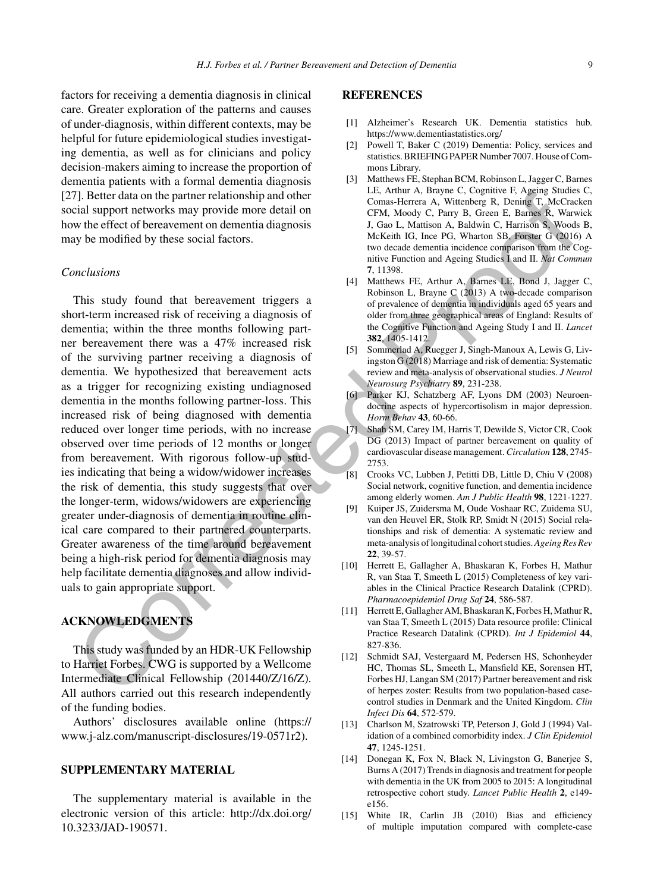factors for receiving a dementia diagnosis in clinical care. Greater exploration of the patterns and causes of under-diagnosis, within different contexts, may be helpful for future epidemiological studies investigating dementia, as well as for clinicians and policy decision-makers aiming to increase the proportion of dementia patients with a formal dementia diagnosis [27]. Better data on the partner relationship and other social support networks may provide more detail on how the effect of bereavement on dementia diagnosis may be modified by these social factors.

#### *Conclusions*

This study found that bereavement triggers a short-term increased risk of receiving a diagnosis of dementia; within the three months following partner bereavement there was a 47% increased risk of the surviving partner receiving a diagnosis of dementia. We hypothesized that bereavement acts as a trigger for recognizing existing undiagnosed dementia in the months following partner-loss. This increased risk of being diagnosed with dementia reduced over longer time periods, with no increase observed over time periods of 12 months or longer from bereavement. With rigorous follow-up studies indicating that being a widow/widower increases the risk of dementia, this study suggests that over the longer-term, widows/widowers are experiencing greater under-diagnosis of dementia in routine clinical care compared to their partnered counterparts. Greater awareness of the time around bereavement being a high-risk period for dementia diagnosis may help facilitate dementia diagnoses and allow individuals to gain appropriate support. 7). Better data on the partier relationship and other was a 47% here. Cognitic A decision and the state of the state of the state of the state of the state of the state of the state of the state of the state of the state

# **ACKNOWLEDGMENTS**

This study was funded by an HDR-UK Fellowship to Harriet Forbes. CWG is supported by a Wellcome Intermediate Clinical Fellowship (201440/Z/16/Z). All authors carried out this research independently of the funding bodies.

Authors' disclosures available online ([https://](https://www.j-alz.com/manuscript-disclosures/19-0571r2) [www.j-alz.com/manuscript-disclosures/19-0571r2\)](https://www.j-alz.com/manuscript-disclosures/19-0571r2).

#### **SUPPLEMENTARY MATERIAL**

The supplementary material is available in the electronic version of this article: [http://dx.doi.org/](http://dx.doi.org/10.3233/JAD-190571) [10.3233/JAD-190571.](http://dx.doi.org/10.3233/JAD-190571)

#### **REFERENCES**

- [1] Alzheimer's Research UK. Dementia statistics hub. <https://www.dementiastatistics.org/>
- [2] Powell T, Baker C (2019) Dementia: Policy, services and statistics. BRIEFING PAPER Number 7007. House of Commons Library.
- [3] Matthews FE, Stephan BCM, Robinson L, Jagger C, Barnes LE, Arthur A, Brayne C, Cognitive F, Ageing Studies C, Comas-Herrera A, Wittenberg R, Dening T, McCracken CFM, Moody C, Parry B, Green E, Barnes R, Warwick J, Gao L, Mattison A, Baldwin C, Harrison S, Woods B, McKeith IG, Ince PG, Wharton SB, Forster G (2016) A two decade dementia incidence comparison from the Cognitive Function and Ageing Studies I and II. *Nat Commun* **7**, 11398.
- [4] Matthews FE, Arthur A, Barnes LE, Bond J, Jagger C, Robinson L, Brayne C (2013) A two-decade comparison of prevalence of dementia in individuals aged 65 years and older from three geographical areas of England: Results of the Cognitive Function and Ageing Study I and II. *Lancet* **382**, 1405-1412.
- [5] Sommerlad A, Ruegger J, Singh-Manoux A, Lewis G, Livingston G (2018) Marriage and risk of dementia: Systematic review and meta-analysis of observational studies. *J Neurol Neurosurg Psychiatry* **89**, 231-238.
- [6] Parker KJ, Schatzberg AF, Lyons DM (2003) Neuroendocrine aspects of hypercortisolism in major depression. *Horm Behav* **43**, 60-66.
- [7] Shah SM, Carey IM, Harris T, Dewilde S, Victor CR, Cook DG (2013) Impact of partner bereavement on quality of cardiovascular disease management.*Circulation* **128**, 2745- 2753.
- [8] Crooks VC, Lubben J, Petitti DB, Little D, Chiu V (2008) Social network, cognitive function, and dementia incidence among elderly women. *Am J Public Health* **98**, 1221-1227.
- [9] Kuiper JS, Zuidersma M, Oude Voshaar RC, Zuidema SU, van den Heuvel ER, Stolk RP, Smidt N (2015) Social relationships and risk of dementia: A systematic review and meta-analysis of longitudinal cohort studies.*Ageing Res Rev* **22**, 39-57.
- [10] Herrett E, Gallagher A, Bhaskaran K, Forbes H, Mathur R, van Staa T, Smeeth L (2015) Completeness of key variables in the Clinical Practice Research Datalink (CPRD). *Pharmacoepidemiol Drug Saf* **24**, 586-587.
- [11] Herrett E, Gallagher AM, Bhaskaran K, Forbes H, Mathur R, van Staa T, Smeeth L (2015) Data resource profile: Clinical Practice Research Datalink (CPRD). *Int J Epidemiol* **44**, 827-836.
- [12] Schmidt SAJ, Vestergaard M, Pedersen HS, Schonheyder HC, Thomas SL, Smeeth L, Mansfield KE, Sorensen HT, Forbes HJ, Langan SM (2017) Partner bereavement and risk of herpes zoster: Results from two population-based casecontrol studies in Denmark and the United Kingdom. *Clin Infect Dis* **64**, 572-579.
- [13] Charlson M, Szatrowski TP, Peterson J, Gold J (1994) Validation of a combined comorbidity index. *J Clin Epidemiol* **47**, 1245-1251.
- [14] Donegan K, Fox N, Black N, Livingston G, Banerjee S, Burns A (2017) Trends in diagnosis and treatment for people with dementia in the UK from 2005 to 2015: A longitudinal retrospective cohort study. *Lancet Public Health* **2**, e149 e156.
- [15] White IR, Carlin JB (2010) Bias and efficiency of multiple imputation compared with complete-case